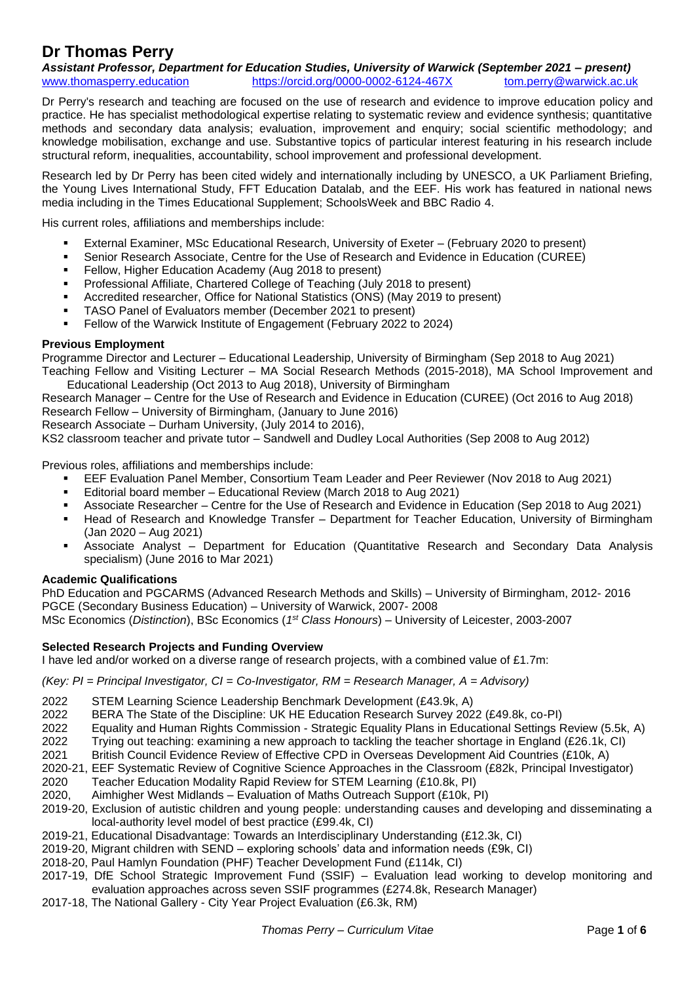# **Dr Thomas Perry**

*Assistant Professor, Department for Education Studies, University of Warwick (September 2021 – present)* [www.thomasperry.education](http://www.thomasperry.education/) <https://orcid.org/0000-0002-6124-467X> [tom.perry@warwick.ac.uk](mailto:tom.perry@warwick.ac.uk)

Dr Perry's research and teaching are focused on the use of research and evidence to improve education policy and practice. He has specialist methodological expertise relating to systematic review and evidence synthesis; quantitative methods and secondary data analysis; evaluation, improvement and enquiry; social scientific methodology; and knowledge mobilisation, exchange and use. Substantive topics of particular interest featuring in his research include structural reform, inequalities, accountability, school improvement and professional development.

Research led by Dr Perry has been cited widely and internationally including by UNESCO, a UK Parliament Briefing, the Young Lives International Study, FFT Education Datalab, and the EEF. His work has featured in national news media including in the Times Educational Supplement; SchoolsWeek and BBC Radio 4.

His current roles, affiliations and memberships include:

- **External Examiner, MSc Educational Research, University of Exeter (February 2020 to present)**
- **•** Senior Research Associate, Centre for the Use of Research and Evidence in Education (CUREE)
- Fellow, Higher Education Academy (Aug 2018 to present)
- Professional Affiliate, Chartered College of Teaching (July 2018 to present)
- Accredited researcher, Office for National Statistics (ONS) (May 2019 to present)
- TASO Panel of Evaluators member (December 2021 to present)
- Fellow of the Warwick Institute of Engagement (February 2022 to 2024)

#### **Previous Employment**

Programme Director and Lecturer – Educational Leadership, University of Birmingham (Sep 2018 to Aug 2021)

Teaching Fellow and Visiting Lecturer – MA Social Research Methods (2015-2018), MA School Improvement and Educational Leadership (Oct 2013 to Aug 2018), University of Birmingham

Research Manager – Centre for the Use of Research and Evidence in Education (CUREE) (Oct 2016 to Aug 2018) Research Fellow – University of Birmingham, (January to June 2016)

Research Associate – Durham University, (July 2014 to 2016),

KS2 classroom teacher and private tutor – Sandwell and Dudley Local Authorities (Sep 2008 to Aug 2012)

Previous roles, affiliations and memberships include:

- EEF Evaluation Panel Member, Consortium Team Leader and Peer Reviewer (Nov 2018 to Aug 2021)
- Editorial board member Educational Review (March 2018 to Aug 2021)
- Associate Researcher Centre for the Use of Research and Evidence in Education (Sep 2018 to Aug 2021)
- **EXECT And Are Franch and Knowledge Transfer Department for Teacher Education, University of Birmingham** (Jan 2020 – Aug 2021)
- Associate Analyst Department for Education (Quantitative Research and Secondary Data Analysis specialism) (June 2016 to Mar 2021)

# **Academic Qualifications**

PhD Education and PGCARMS (Advanced Research Methods and Skills) – University of Birmingham, 2012- 2016 PGCE (Secondary Business Education) – University of Warwick, 2007- 2008 MSc Economics (*Distinction*), BSc Economics (*1 st Class Honours*) – University of Leicester, 2003-2007

# **Selected Research Projects and Funding Overview**

I have led and/or worked on a diverse range of research projects, with a combined value of £1.7m:

*(Key: PI = Principal Investigator, CI = Co-Investigator, RM = Research Manager, A = Advisory)*

- 2022 STEM Learning Science Leadership Benchmark Development (£43.9k, A)
- 2022 BERA The State of the Discipline: UK HE Education Research Survey 2022 (£49.8k, co-PI)
- 2022 Equality and Human Rights Commission Strategic Equality Plans in Educational Settings Review (5.5k, A)
- 2022 Trying out teaching: examining a new approach to tackling the teacher shortage in England (£26.1k, CI)
- 2021 British Council Evidence Review of Effective CPD in Overseas Development Aid Countries (£10k, A)
- 2020-21, EEF Systematic Review of Cognitive Science Approaches in the Classroom (£82k, Principal Investigator)
- 2020 Teacher Education Modality Rapid Review for STEM Learning (£10.8k, PI)
- 2020, Aimhigher West Midlands Evaluation of Maths Outreach Support (£10k, PI)
- 2019-20, Exclusion of autistic children and young people: understanding causes and developing and disseminating a local-authority level model of best practice (£99.4k, CI)
- 2019-21, Educational Disadvantage: Towards an Interdisciplinary Understanding (£12.3k, CI)
- 2019-20, Migrant children with SEND exploring schools' data and information needs (£9k, CI)
- 2018-20, Paul Hamlyn Foundation (PHF) Teacher Development Fund (£114k, CI)
- 2017-19, DfE School Strategic Improvement Fund (SSIF) Evaluation lead working to develop monitoring and evaluation approaches across seven SSIF programmes (£274.8k, Research Manager)
- 2017-18, The National Gallery City Year Project Evaluation (£6.3k, RM)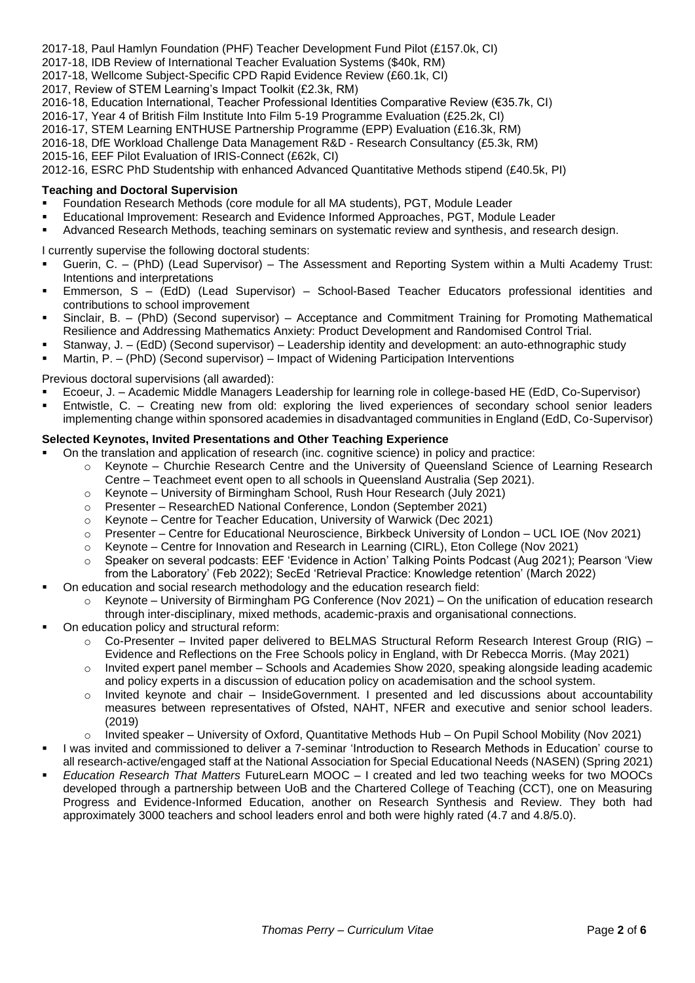2017-18, Paul Hamlyn Foundation (PHF) Teacher Development Fund Pilot (£157.0k, CI)

2017-18, IDB Review of International Teacher Evaluation Systems (\$40k, RM)

2017-18, Wellcome Subject-Specific CPD Rapid Evidence Review (£60.1k, CI)

2017, Review of STEM Learning's Impact Toolkit (£2.3k, RM)

2016-18, Education International, Teacher Professional Identities Comparative Review (€35.7k, CI)

2016-17, Year 4 of British Film Institute Into Film 5-19 Programme Evaluation (£25.2k, CI)

2016-17, STEM Learning ENTHUSE Partnership Programme (EPP) Evaluation (£16.3k, RM)

2016-18, DfE Workload Challenge Data Management R&D - Research Consultancy (£5.3k, RM)

2015-16, EEF Pilot Evaluation of IRIS-Connect (£62k, CI)

2012-16, ESRC PhD Studentship with enhanced Advanced Quantitative Methods stipend (£40.5k, PI)

# **Teaching and Doctoral Supervision**

- Foundation Research Methods (core module for all MA students), PGT, Module Leader
- Educational Improvement: Research and Evidence Informed Approaches, PGT, Module Leader
- Advanced Research Methods, teaching seminars on systematic review and synthesis, and research design.

I currently supervise the following doctoral students:

- Guerin, C. (PhD) (Lead Supervisor) The Assessment and Reporting System within a Multi Academy Trust: Intentions and interpretations
- Emmerson, S (EdD) (Lead Supervisor) School-Based Teacher Educators professional identities and contributions to school improvement
- Sinclair, B. (PhD) (Second supervisor) Acceptance and Commitment Training for Promoting Mathematical Resilience and Addressing Mathematics Anxiety: Product Development and Randomised Control Trial.
- Stanway, J. (EdD) (Second supervisor) Leadership identity and development: an auto-ethnographic study
- Martin, P. (PhD) (Second supervisor) Impact of Widening Participation Interventions

# Previous doctoral supervisions (all awarded):

- Ecoeur, J. Academic Middle Managers Leadership for learning role in college-based HE (EdD, Co-Supervisor)
- Entwistle, C. Creating new from old: exploring the lived experiences of secondary school senior leaders implementing change within sponsored academies in disadvantaged communities in England (EdD, Co-Supervisor)

#### **Selected Keynotes, Invited Presentations and Other Teaching Experience**

- On the translation and application of research (inc. cognitive science) in policy and practice:
	- o Keynote Churchie Research Centre and the University of Queensland Science of Learning Research Centre – Teachmeet event open to all schools in Queensland Australia (Sep 2021).
	- o Keynote University of Birmingham School, Rush Hour Research (July 2021)
	- o Presenter ResearchED National Conference, London (September 2021)
	- o Keynote Centre for Teacher Education, University of Warwick (Dec 2021)
	- o Presenter Centre for Educational Neuroscience, Birkbeck University of London UCL IOE (Nov 2021)
	- $\circ$  Keynote Centre for Innovation and Research in Learning (CIRL), Eton College (Nov 2021)
	- o Speaker on several podcasts: EEF 'Evidence in Action' Talking Points Podcast (Aug 2021); Pearson 'View from the Laboratory' (Feb 2022); SecEd 'Retrieval Practice: Knowledge retention' (March 2022)
- On education and social research methodology and the education research field:
	- $\circ$  Keynote University of Birmingham PG Conference (Nov 2021) On the unification of education research through inter-disciplinary, mixed methods, academic-praxis and organisational connections.
- On education policy and structural reform:
	- $\circ$  Co-Presenter Invited paper delivered to BELMAS Structural Reform Research Interest Group (RIG) Evidence and Reflections on the Free Schools policy in England, with Dr Rebecca Morris. (May 2021)
	- o Invited expert panel member Schools and Academies Show 2020, speaking alongside leading academic and policy experts in a discussion of education policy on academisation and the school system.
	- $\circ$  Invited keynote and chair InsideGovernment. I presented and led discussions about accountability measures between representatives of Ofsted, NAHT, NFER and executive and senior school leaders. (2019)
	- o Invited speaker University of Oxford, Quantitative Methods Hub On Pupil School Mobility (Nov 2021)
- I was invited and commissioned to deliver a 7-seminar 'Introduction to Research Methods in Education' course to all research-active/engaged staff at the National Association for Special Educational Needs (NASEN) (Spring 2021)
- *Education Research That Matters* FutureLearn MOOC I created and led two teaching weeks for two MOOCs developed through a partnership between UoB and the Chartered College of Teaching (CCT), one on Measuring Progress and Evidence-Informed Education, another on Research Synthesis and Review. They both had approximately 3000 teachers and school leaders enrol and both were highly rated (4.7 and 4.8/5.0).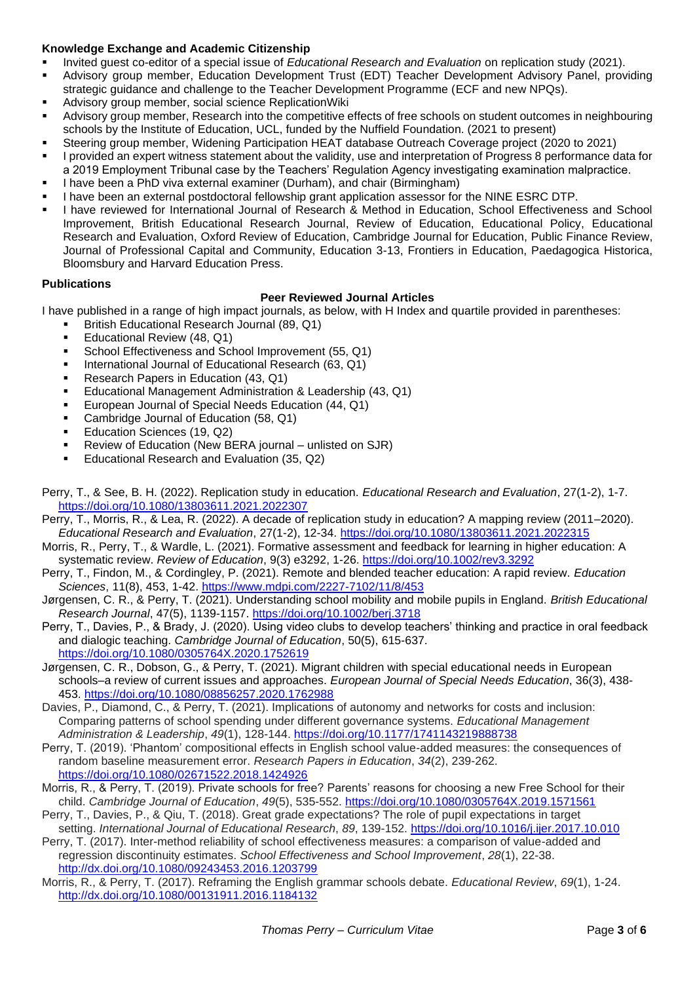# **Knowledge Exchange and Academic Citizenship**

- Invited guest co-editor of a special issue of *Educational Research and Evaluation* on replication study (2021).
- Advisory group member, Education Development Trust (EDT) Teacher Development Advisory Panel, providing strategic guidance and challenge to the Teacher Development Programme (ECF and new NPQs).
- Advisory group member, social science ReplicationWiki
- Advisory group member, Research into the competitive effects of free schools on student outcomes in neighbouring schools by the Institute of Education, UCL, funded by the Nuffield Foundation. (2021 to present)
- Steering group member, Widening Participation HEAT database Outreach Coverage project (2020 to 2021)
- I provided an expert witness statement about the validity, use and interpretation of Progress 8 performance data for a 2019 Employment Tribunal case by the Teachers' Regulation Agency investigating examination malpractice.
- I have been a PhD viva external examiner (Durham), and chair (Birmingham)
- I have been an external postdoctoral fellowship grant application assessor for the NINE ESRC DTP.
- I have reviewed for International Journal of Research & Method in Education, School Effectiveness and School Improvement, British Educational Research Journal, Review of Education, Educational Policy, Educational Research and Evaluation, Oxford Review of Education, Cambridge Journal for Education, Public Finance Review, Journal of Professional Capital and Community, Education 3-13, Frontiers in Education, Paedagogica Historica, Bloomsbury and Harvard Education Press.

# **Publications**

# **Peer Reviewed Journal Articles**

I have published in a range of high impact journals, as below, with H Index and quartile provided in parentheses:

- British Educational Research Journal (89, Q1)
- Educational Review (48, Q1)
- School Effectiveness and School Improvement (55, Q1)
- International Journal of Educational Research (63, Q1)
- Research Papers in Education (43, Q1)
- Educational Management Administration & Leadership (43, Q1)
- European Journal of Special Needs Education (44, Q1)
- Cambridge Journal of Education (58, Q1)
- Education Sciences (19, Q2)
- Review of Education (New BERA journal unlisted on SJR)
- Educational Research and Evaluation (35, Q2)
- Perry, T., & See, B. H. (2022). Replication study in education. *Educational Research and Evaluation*, 27(1-2), 1-7. <https://doi.org/10.1080/13803611.2021.2022307>
- Perry, T., Morris, R., & Lea, R. (2022). A decade of replication study in education? A mapping review (2011–2020). *Educational Research and Evaluation*, 27(1-2), 12-34. <https://doi.org/10.1080/13803611.2021.2022315>
- Morris, R., Perry, T., & Wardle, L. (2021). Formative assessment and feedback for learning in higher education: A systematic review. *Review of Education*, 9(3) e3292, 1-26.<https://doi.org/10.1002/rev3.3292>
- Perry, T., Findon, M., & Cordingley, P. (2021). Remote and blended teacher education: A rapid review. *Education Sciences*, 11(8), 453, 1-42.<https://www.mdpi.com/2227-7102/11/8/453>
- Jørgensen, C. R., & Perry, T. (2021). Understanding school mobility and mobile pupils in England. *British Educational Research Journal*, 47(5), 1139-1157.<https://doi.org/10.1002/berj.3718>
- Perry, T., Davies, P., & Brady, J. (2020). Using video clubs to develop teachers' thinking and practice in oral feedback and dialogic teaching. *Cambridge Journal of Education*, 50(5), 615-637. <https://doi.org/10.1080/0305764X.2020.1752619>
- Jørgensen, C. R., Dobson, G., & Perry, T. (2021). Migrant children with special educational needs in European schools–a review of current issues and approaches. *European Journal of Special Needs Education*, 36(3), 438- 453.<https://doi.org/10.1080/08856257.2020.1762988>
- Davies, P., Diamond, C., & Perry, T. (2021). Implications of autonomy and networks for costs and inclusion: Comparing patterns of school spending under different governance systems. *Educational Management Administration & Leadership*, *49*(1), 128-144.<https://doi.org/10.1177/1741143219888738>
- Perry, T. (2019). 'Phantom' compositional effects in English school value-added measures: the consequences of random baseline measurement error. *Research Papers in Education*, *34*(2), 239-262. <https://doi.org/10.1080/02671522.2018.1424926>
- Morris, R., & Perry, T. (2019). Private schools for free? Parents' reasons for choosing a new Free School for their child. *Cambridge Journal of Education*, *49*(5), 535-552.<https://doi.org/10.1080/0305764X.2019.1571561>
- Perry, T., Davies, P., & Qiu, T. (2018). Great grade expectations? The role of pupil expectations in target setting. *International Journal of Educational Research*, *89*, 139-152. <https://doi.org/10.1016/j.ijer.2017.10.010>
- Perry, T. (2017). Inter-method reliability of school effectiveness measures: a comparison of value-added and regression discontinuity estimates. *School Effectiveness and School Improvement*, *28*(1), 22-38. <http://dx.doi.org/10.1080/09243453.2016.1203799>
- Morris, R., & Perry, T. (2017). Reframing the English grammar schools debate. *Educational Review*, *69*(1), 1-24. <http://dx.doi.org/10.1080/00131911.2016.1184132>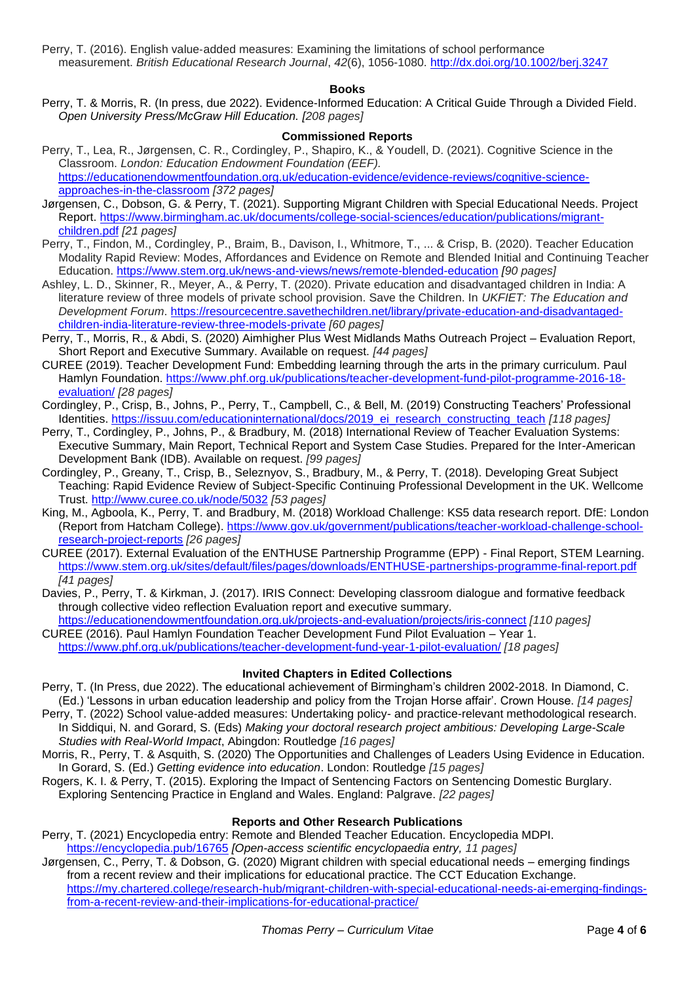Perry, T. (2016). English value‐added measures: Examining the limitations of school performance measurement. *British Educational Research Journal*, *42*(6), 1056-1080.<http://dx.doi.org/10.1002/berj.3247>

# **Books**

Perry, T. & Morris, R. (In press, due 2022). Evidence-Informed Education: A Critical Guide Through a Divided Field. *Open University Press/McGraw Hill Education. [208 pages]*

# **Commissioned Reports**

- Perry, T., Lea, R., Jørgensen, C. R., Cordingley, P., Shapiro, K., & Youdell, D. (2021). Cognitive Science in the Classroom. *London: Education Endowment Foundation (EEF).*  [https://educationendowmentfoundation.org.uk/education-evidence/evidence-reviews/cognitive-science](https://educationendowmentfoundation.org.uk/education-evidence/evidence-reviews/cognitive-science-approaches-in-the-classroom)[approaches-in-the-classroom](https://educationendowmentfoundation.org.uk/education-evidence/evidence-reviews/cognitive-science-approaches-in-the-classroom) *[372 pages]*
- Jørgensen, C., Dobson, G. & Perry, T. (2021). Supporting Migrant Children with Special Educational Needs. Project Report. [https://www.birmingham.ac.uk/documents/college-social-sciences/education/publications/migrant](https://www.birmingham.ac.uk/documents/college-social-sciences/education/publications/migrant-children.pdf)[children.pdf](https://www.birmingham.ac.uk/documents/college-social-sciences/education/publications/migrant-children.pdf) *[21 pages]*
- Perry, T., Findon, M., Cordingley, P., Braim, B., Davison, I., Whitmore, T., ... & Crisp, B. (2020). Teacher Education Modality Rapid Review: Modes, Affordances and Evidence on Remote and Blended Initial and Continuing Teacher Education.<https://www.stem.org.uk/news-and-views/news/remote-blended-education> *[90 pages]*
- Ashley, L. D., Skinner, R., Meyer, A., & Perry, T. (2020). Private education and disadvantaged children in India: A literature review of three models of private school provision. Save the Children. In *UKFIET: The Education and Development Forum*. [https://resourcecentre.savethechildren.net/library/private-education-and-disadvantaged](https://resourcecentre.savethechildren.net/library/private-education-and-disadvantaged-children-india-literature-review-three-models-private)[children-india-literature-review-three-models-private](https://resourcecentre.savethechildren.net/library/private-education-and-disadvantaged-children-india-literature-review-three-models-private) *[60 pages]*
- Perry, T., Morris, R., & Abdi, S. (2020) Aimhigher Plus West Midlands Maths Outreach Project Evaluation Report, Short Report and Executive Summary. Available on request. *[44 pages]*
- CUREE (2019). Teacher Development Fund: Embedding learning through the arts in the primary curriculum. Paul Hamlyn Foundation. [https://www.phf.org.uk/publications/teacher-development-fund-pilot-programme-2016-18](https://www.phf.org.uk/publications/teacher-development-fund-pilot-programme-2016-18-evaluation/) [evaluation/](https://www.phf.org.uk/publications/teacher-development-fund-pilot-programme-2016-18-evaluation/) *[28 pages]*
- Cordingley, P., Crisp, B., Johns, P., Perry, T., Campbell, C., & Bell, M. (2019) Constructing Teachers' Professional Identities. [https://issuu.com/educationinternational/docs/2019\\_ei\\_research\\_constructing\\_teach](https://issuu.com/educationinternational/docs/2019_ei_research_constructing_teach) *[118 pages]*
- Perry, T., Cordingley, P., Johns, P., & Bradbury, M. (2018) International Review of Teacher Evaluation Systems: Executive Summary, Main Report, Technical Report and System Case Studies. Prepared for the Inter-American Development Bank (IDB). Available on request. *[99 pages]*
- Cordingley, P., Greany, T., Crisp, B., Seleznyov, S., Bradbury, M., & Perry, T. (2018). Developing Great Subject Teaching: Rapid Evidence Review of Subject-Specific Continuing Professional Development in the UK. Wellcome Trust.<http://www.curee.co.uk/node/5032> *[53 pages]*
- King, M., Agboola, K., Perry, T. and Bradbury, M. (2018) Workload Challenge: KS5 data research report. DfE: London (Report from Hatcham College). [https://www.gov.uk/government/publications/teacher-workload-challenge-school](https://www.gov.uk/government/publications/teacher-workload-challenge-school-research-project-reports)[research-project-reports](https://www.gov.uk/government/publications/teacher-workload-challenge-school-research-project-reports) *[26 pages]*
- CUREE (2017). External Evaluation of the ENTHUSE Partnership Programme (EPP) Final Report, STEM Learning. <https://www.stem.org.uk/sites/default/files/pages/downloads/ENTHUSE-partnerships-programme-final-report.pdf> *[41 pages]*
- Davies, P., Perry, T. & Kirkman, J. (2017). IRIS Connect: Developing classroom dialogue and formative feedback through collective video reflection Evaluation report and executive summary.

<https://educationendowmentfoundation.org.uk/projects-and-evaluation/projects/iris-connect> *[110 pages]* CUREE (2016). Paul Hamlyn Foundation Teacher Development Fund Pilot Evaluation – Year 1.

# <https://www.phf.org.uk/publications/teacher-development-fund-year-1-pilot-evaluation/> *[18 pages]*

#### **Invited Chapters in Edited Collections**

- Perry, T. (In Press, due 2022). The educational achievement of Birmingham's children 2002-2018. In Diamond, C. (Ed.) 'Lessons in urban education leadership and policy from the Trojan Horse affair'. Crown House. *[14 pages]*
- Perry, T. (2022) School value-added measures: Undertaking policy- and practice-relevant methodological research. In Siddiqui, N. and Gorard, S. (Eds) *Making your doctoral research project ambitious: Developing Large-Scale Studies with Real-World Impact*, Abingdon: Routledge *[16 pages]*
- Morris, R., Perry, T. & Asquith, S. (2020) The Opportunities and Challenges of Leaders Using Evidence in Education. In Gorard, S. (Ed.) *Getting evidence into education*. London: Routledge *[15 pages]*
- Rogers, K. I. & Perry, T. (2015). Exploring the Impact of Sentencing Factors on Sentencing Domestic Burglary. Exploring Sentencing Practice in England and Wales. England: Palgrave. *[22 pages]*

# **Reports and Other Research Publications**

Perry, T. (2021) Encyclopedia entry: Remote and Blended Teacher Education. Encyclopedia MDPI.

<https://encyclopedia.pub/16765> *[Open-access scientific encyclopaedia entry, 11 pages]* Jørgensen, C., Perry, T. & Dobson, G. (2020) Migrant children with special educational needs – emerging findings from a recent review and their implications for educational practice. The CCT Education Exchange. [https://my.chartered.college/research-hub/migrant-children-with-special-educational-needs-ai-emerging-findings](https://my.chartered.college/research-hub/migrant-children-with-special-educational-needs-ai-emerging-findings-from-a-recent-review-and-their-implications-for-educational-practice/)[from-a-recent-review-and-their-implications-for-educational-practice/](https://my.chartered.college/research-hub/migrant-children-with-special-educational-needs-ai-emerging-findings-from-a-recent-review-and-their-implications-for-educational-practice/)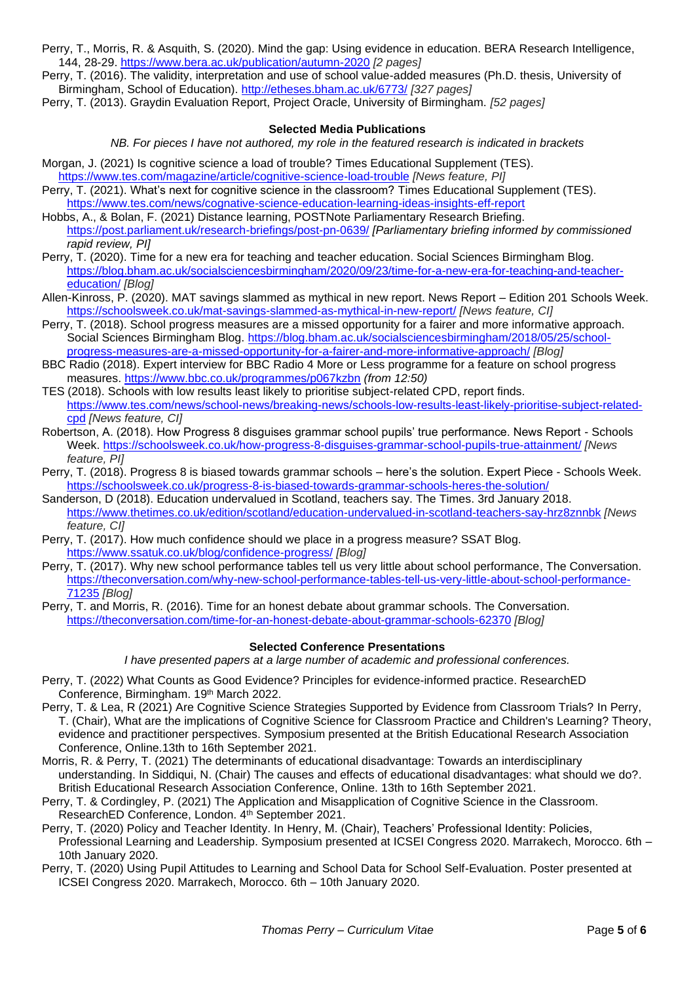- Perry, T., Morris, R. & Asquith, S. (2020). Mind the gap: Using evidence in education. BERA Research Intelligence, 144, 28-29. <https://www.bera.ac.uk/publication/autumn-2020> *[2 pages]*
- Perry, T. (2016). The validity, interpretation and use of school value-added measures (Ph.D. thesis, University of Birmingham, School of Education).<http://etheses.bham.ac.uk/6773/> *[327 pages]*
- Perry, T. (2013). Graydin Evaluation Report, Project Oracle, University of Birmingham. *[52 pages]*

# **Selected Media Publications**

*NB. For pieces I have not authored, my role in the featured research is indicated in brackets*

- Morgan, J. (2021) Is cognitive science a load of trouble? Times Educational Supplement (TES). <https://www.tes.com/magazine/article/cognitive-science-load-trouble> *[News feature, PI]*
- Perry, T. (2021). What's next for cognitive science in the classroom? Times Educational Supplement (TES). <https://www.tes.com/news/cognative-science-education-learning-ideas-insights-eff-report>
- Hobbs, A., & Bolan, F. (2021) Distance learning, POSTNote Parliamentary Research Briefing. <https://post.parliament.uk/research-briefings/post-pn-0639/> *[Parliamentary briefing informed by commissioned rapid review, PI]*
- Perry, T. (2020). Time for a new era for teaching and teacher education. Social Sciences Birmingham Blog. [https://blog.bham.ac.uk/socialsciencesbirmingham/2020/09/23/time-for-a-new-era-for-teaching-and-teacher](https://blog.bham.ac.uk/socialsciencesbirmingham/2020/09/23/time-for-a-new-era-for-teaching-and-teacher-education/)[education/](https://blog.bham.ac.uk/socialsciencesbirmingham/2020/09/23/time-for-a-new-era-for-teaching-and-teacher-education/) *[Blog]*
- Allen-Kinross, P. (2020). MAT savings slammed as mythical in new report. News Report Edition 201 Schools Week. <https://schoolsweek.co.uk/mat-savings-slammed-as-mythical-in-new-report/> *[News feature, CI]*
- Perry, T. (2018). School progress measures are a missed opportunity for a fairer and more informative approach. Social Sciences Birmingham Blog. [https://blog.bham.ac.uk/socialsciencesbirmingham/2018/05/25/school](https://blog.bham.ac.uk/socialsciencesbirmingham/2018/05/25/school-progress-measures-are-a-missed-opportunity-for-a-fairer-and-more-informative-approach/)[progress-measures-are-a-missed-opportunity-for-a-fairer-and-more-informative-approach/](https://blog.bham.ac.uk/socialsciencesbirmingham/2018/05/25/school-progress-measures-are-a-missed-opportunity-for-a-fairer-and-more-informative-approach/) *[Blog]*
- BBC Radio (2018). Expert interview for BBC Radio 4 More or Less programme for a feature on school progress measures.<https://www.bbc.co.uk/programmes/p067kzbn> *(from 12:50)*
- TES (2018). Schools with low results least likely to prioritise subject-related CPD, report finds. [https://www.tes.com/news/school-news/breaking-news/schools-low-results-least-likely-prioritise-subject-related](https://www.tes.com/news/school-news/breaking-news/schools-low-results-least-likely-prioritise-subject-related-cpd)[cpd](https://www.tes.com/news/school-news/breaking-news/schools-low-results-least-likely-prioritise-subject-related-cpd) *[News feature, CI]*
- Robertson, A. (2018). How Progress 8 disguises grammar school pupils' true performance. News Report Schools Week.<https://schoolsweek.co.uk/how-progress-8-disguises-grammar-school-pupils-true-attainment/> *[News feature, PI]*
- Perry, T. (2018). Progress 8 is biased towards grammar schools here's the solution. Expert Piece Schools Week. <https://schoolsweek.co.uk/progress-8-is-biased-towards-grammar-schools-heres-the-solution/>
- Sanderson, D (2018). Education undervalued in Scotland, teachers say. The Times. 3rd January 2018. <https://www.thetimes.co.uk/edition/scotland/education-undervalued-in-scotland-teachers-say-hrz8znnbk> *[News feature, CI]*
- Perry, T. (2017). How much confidence should we place in a progress measure? SSAT Blog. <https://www.ssatuk.co.uk/blog/confidence-progress/> *[Blog]*
- Perry, T. (2017). Why new school performance tables tell us very little about school performance, The Conversation. [https://theconversation.com/why-new-school-performance-tables-tell-us-very-little-about-school-performance-](https://theconversation.com/why-new-school-performance-tables-tell-us-very-little-about-school-performance-71235)[71235](https://theconversation.com/why-new-school-performance-tables-tell-us-very-little-about-school-performance-71235) *[Blog]*
- Perry, T. and Morris, R. (2016). Time for an honest debate about grammar schools. The Conversation. <https://theconversation.com/time-for-an-honest-debate-about-grammar-schools-62370> *[Blog]*

# **Selected Conference Presentations**

*I have presented papers at a large number of academic and professional conferences.*

- Perry, T. (2022) What Counts as Good Evidence? Principles for evidence-informed practice. ResearchED Conference, Birmingham. 19th March 2022.
- Perry, T. & Lea, R (2021) Are Cognitive Science Strategies Supported by Evidence from Classroom Trials? In Perry, T. (Chair), What are the implications of Cognitive Science for Classroom Practice and Children's Learning? Theory, evidence and practitioner perspectives. Symposium presented at the British Educational Research Association Conference, Online.13th to 16th September 2021.
- Morris, R. & Perry, T. (2021) The determinants of educational disadvantage: Towards an interdisciplinary understanding. In Siddiqui, N. (Chair) The causes and effects of educational disadvantages: what should we do?. British Educational Research Association Conference, Online. 13th to 16th September 2021.
- Perry, T. & Cordingley, P. (2021) The Application and Misapplication of Cognitive Science in the Classroom. ResearchED Conference, London. 4<sup>th</sup> September 2021.
- Perry, T. (2020) Policy and Teacher Identity. In Henry, M. (Chair), Teachers' Professional Identity: Policies, Professional Learning and Leadership. Symposium presented at ICSEI Congress 2020. Marrakech, Morocco. 6th – 10th January 2020.
- Perry, T. (2020) Using Pupil Attitudes to Learning and School Data for School Self-Evaluation. Poster presented at ICSEI Congress 2020. Marrakech, Morocco. 6th – 10th January 2020.